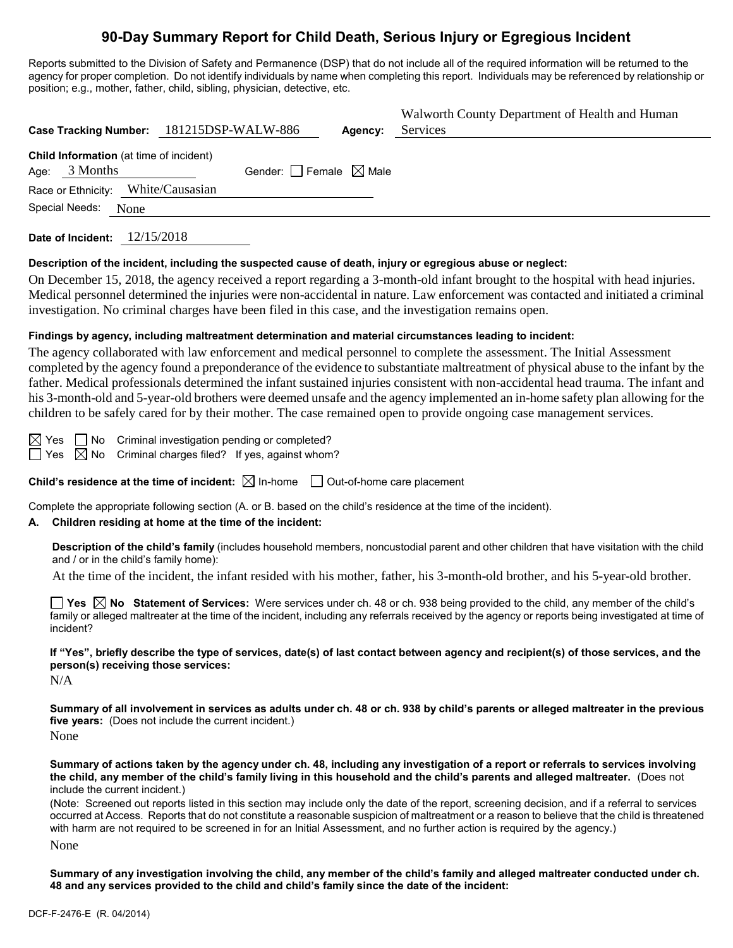# **90-Day Summary Report for Child Death, Serious Injury or Egregious Incident**

Reports submitted to the Division of Safety and Permanence (DSP) that do not include all of the required information will be returned to the agency for proper completion. Do not identify individuals by name when completing this report. Individuals may be referenced by relationship or position; e.g., mother, father, child, sibling, physician, detective, etc.

|                                                            | Case Tracking Number: 181215DSP-WALW-886 | Agency: | Walworth County Department of Health and Human<br>Services |
|------------------------------------------------------------|------------------------------------------|---------|------------------------------------------------------------|
| Child Information (at time of incident)<br>Age: $3$ Months | Gender: $\Box$ Female $\boxtimes$ Male   |         |                                                            |
| Race or Ethnicity: White/Causasian                         |                                          |         |                                                            |
| Special Needs:<br>None                                     |                                          |         |                                                            |

**Date of Incident:** 12/15/2018

#### **Description of the incident, including the suspected cause of death, injury or egregious abuse or neglect:**

On December 15, 2018, the agency received a report regarding a 3-month-old infant brought to the hospital with head injuries. Medical personnel determined the injuries were non-accidental in nature. Law enforcement was contacted and initiated a criminal investigation. No criminal charges have been filed in this case, and the investigation remains open.

#### **Findings by agency, including maltreatment determination and material circumstances leading to incident:**

The agency collaborated with law enforcement and medical personnel to complete the assessment. The Initial Assessment completed by the agency found a preponderance of the evidence to substantiate maltreatment of physical abuse to the infant by the father. Medical professionals determined the infant sustained injuries consistent with non-accidental head trauma. The infant and his 3-month-old and 5-year-old brothers were deemed unsafe and the agency implemented an in-home safety plan allowing for the children to be safely cared for by their mother. The case remained open to provide ongoing case management services.

 $\boxtimes$  Yes  $\Box$  No Criminal investigation pending or completed?

 $\Box$  Yes  $\boxtimes$  No Criminal charges filed? If yes, against whom?

**Child's residence at the time of incident:**  $\boxtimes$  In-home  $\Box$  Out-of-home care placement

Complete the appropriate following section (A. or B. based on the child's residence at the time of the incident).

#### **A. Children residing at home at the time of the incident:**

**Description of the child's family** (includes household members, noncustodial parent and other children that have visitation with the child and / or in the child's family home):

At the time of the incident, the infant resided with his mother, father, his 3-month-old brother, and his 5-year-old brother.

**Yes No Statement of Services:** Were services under ch. 48 or ch. 938 being provided to the child, any member of the child's family or alleged maltreater at the time of the incident, including any referrals received by the agency or reports being investigated at time of incident?

**If "Yes", briefly describe the type of services, date(s) of last contact between agency and recipient(s) of those services, and the person(s) receiving those services:**

N/A

**Summary of all involvement in services as adults under ch. 48 or ch. 938 by child's parents or alleged maltreater in the previous five years:** (Does not include the current incident.)

None

**Summary of actions taken by the agency under ch. 48, including any investigation of a report or referrals to services involving the child, any member of the child's family living in this household and the child's parents and alleged maltreater.** (Does not include the current incident.)

(Note: Screened out reports listed in this section may include only the date of the report, screening decision, and if a referral to services occurred at Access. Reports that do not constitute a reasonable suspicion of maltreatment or a reason to believe that the child is threatened with harm are not required to be screened in for an Initial Assessment, and no further action is required by the agency.) None

**Summary of any investigation involving the child, any member of the child's family and alleged maltreater conducted under ch. 48 and any services provided to the child and child's family since the date of the incident:**